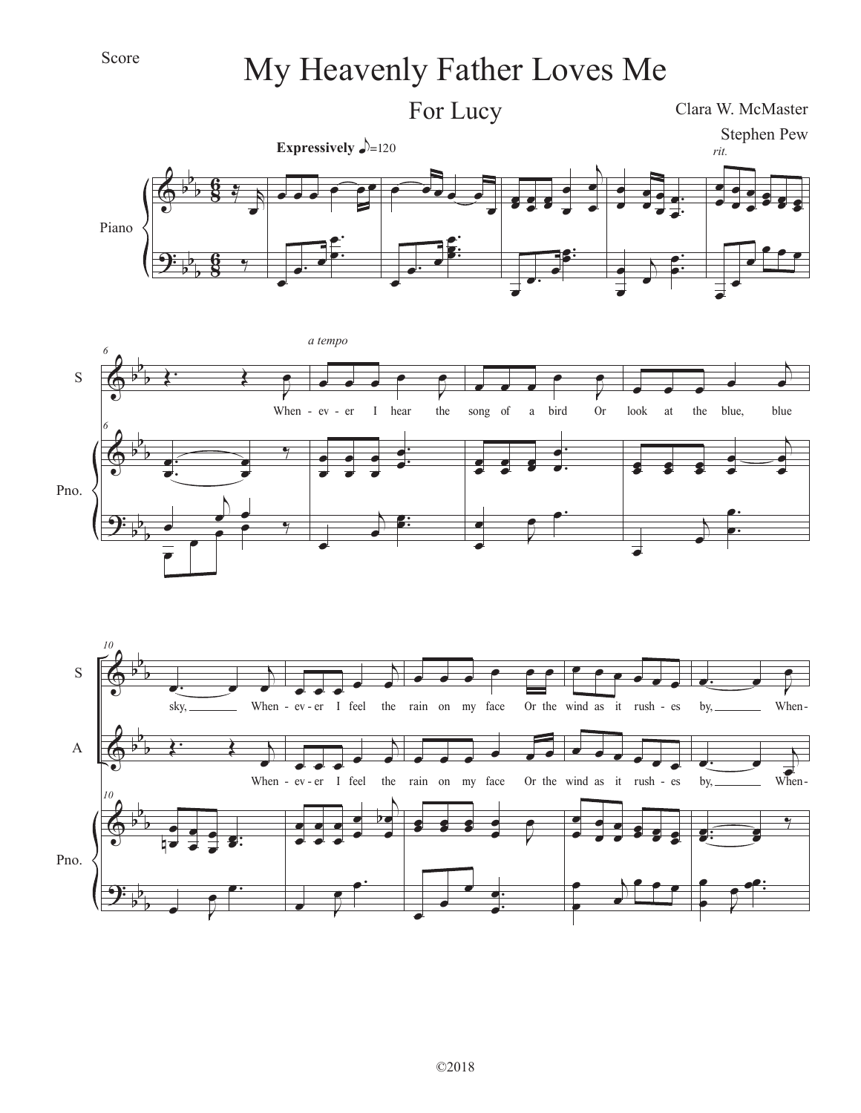## Score

## My Heavenly Father Loves Me





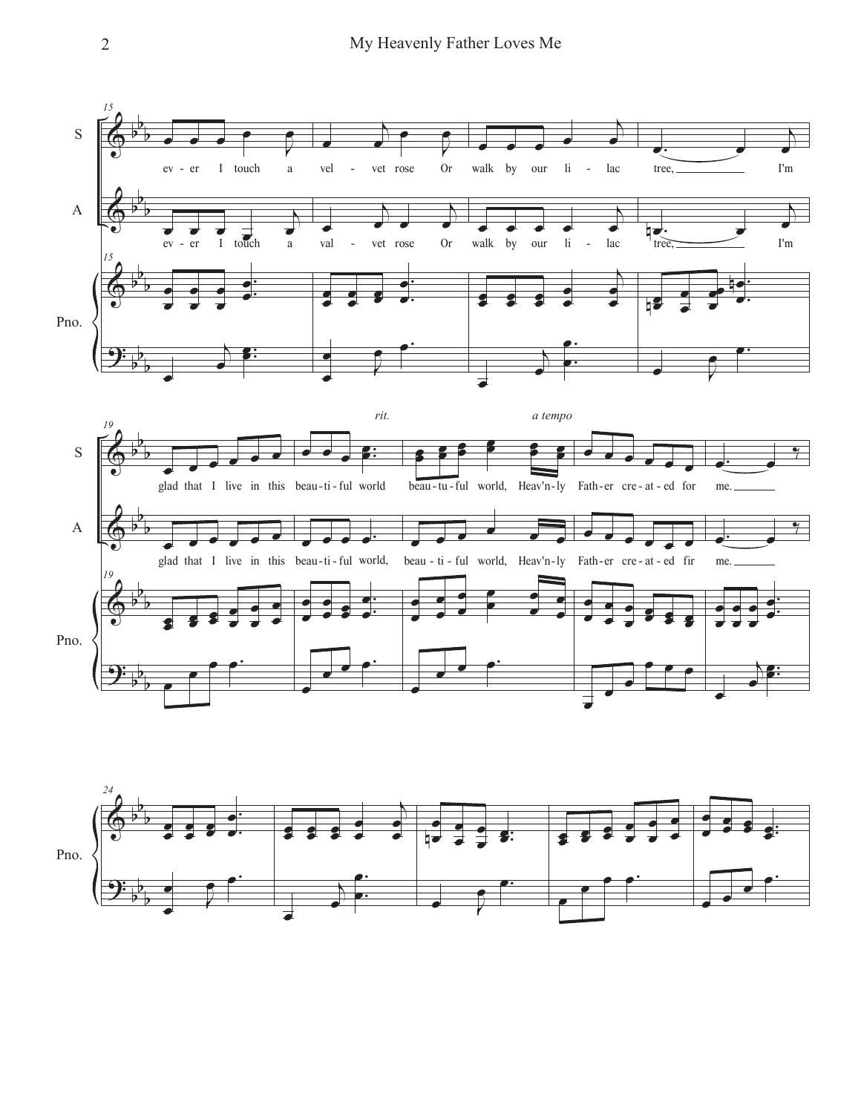

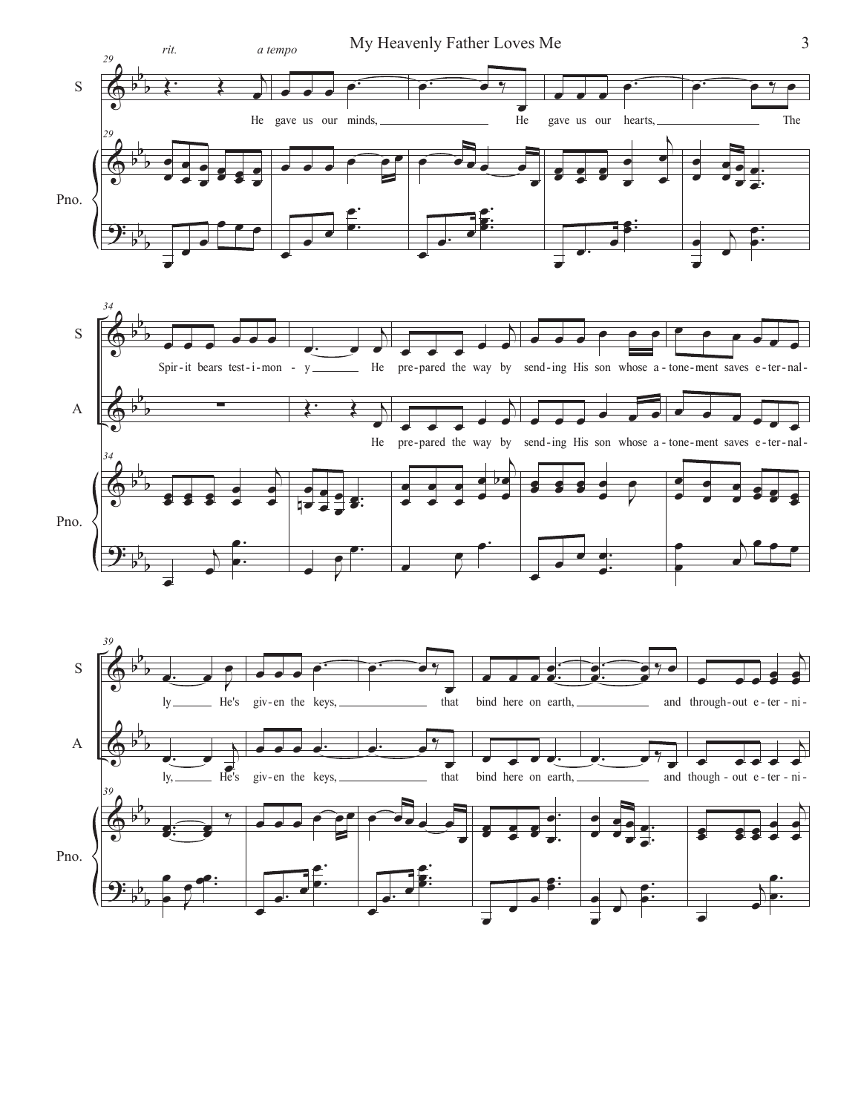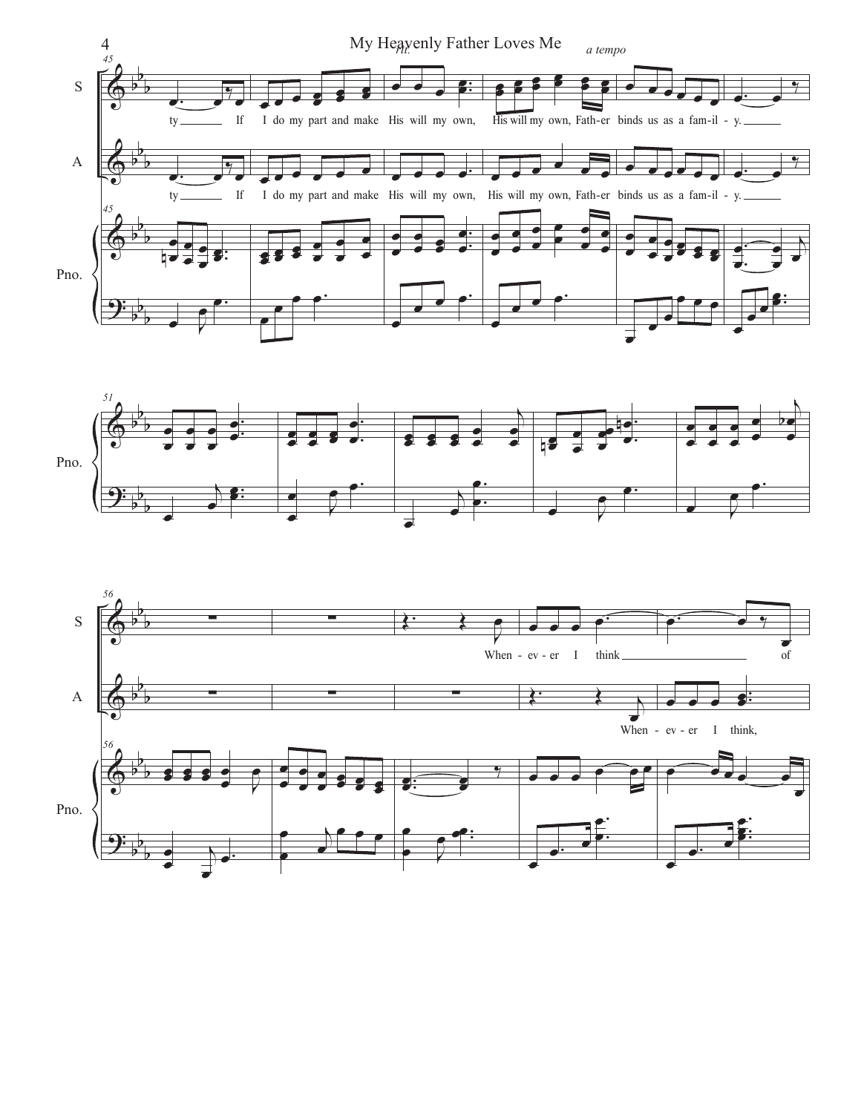



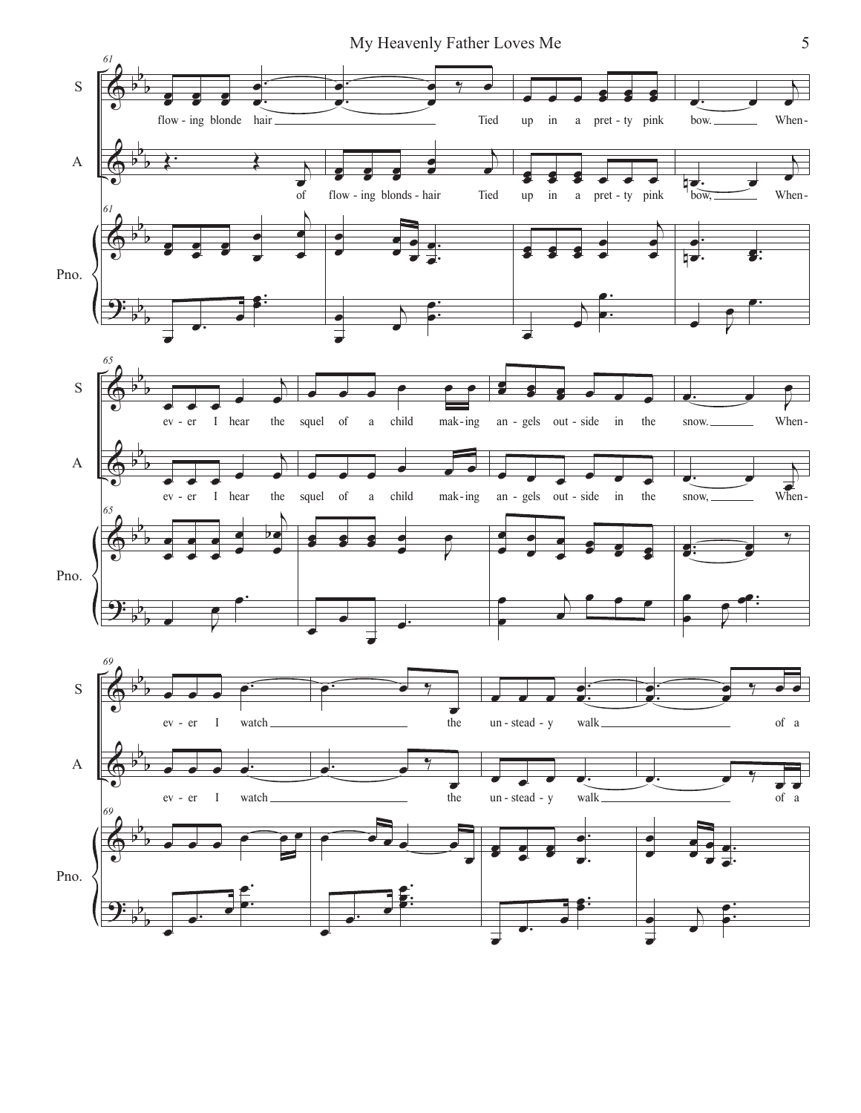